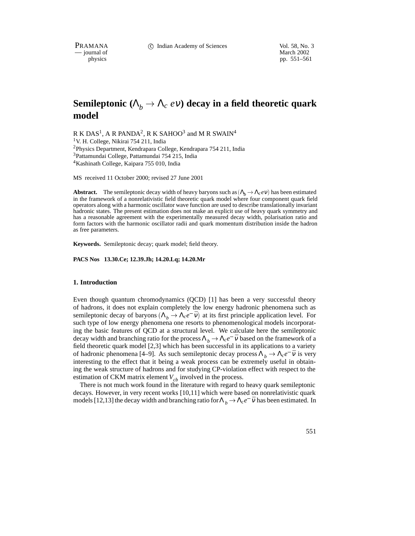PRAMANA 
<sup>C</sup> Indian Academy of Sciences 
<sup>Vol. 58, No. 3

Wol. 58, No. 3

PRAMANA

C Indian Academy of Sciences

Vol. 58, No. 3

Vol. 58, No. 3

Vol. 58, No. 3

Vol. 58, No. 3

Vol. 58, No. 3

Vol. 58, No. 3

Vol. 58, No. </sup>

position of the matrix of the matrix of the March 2002 physics of the March 2002 physics of the March 2002 physics of the March 2002 physics of the March 2002 physics of the March 2002 physics of the March 2002 physics of pp. 551–561

# **Semileptonic** ( $\Lambda_b \to \Lambda_c$  *ev*) decay in a field theoretic quark **model**

R K DAS<sup>1</sup>, A R PANDA<sup>2</sup>, R K SAHOO<sup>3</sup> and M R SWAIN<sup>4</sup> <sup>1</sup>V. H. College, Nikirai 754 211, India <sup>2</sup>Physics Department, Kendrapara College, Kendrapara 754 211, India 3Pattamundai College, Pattamundai 754 215, India 4Kashinath College, Kaipara 755 010, India

MS received 11 October 2000; revised 27 June 2001

**Abstract.** The semileptonic decay width of heavy baryons such as  $(\Lambda_b \to \Lambda_c e \nu)$  has been estimated in the framework of a nonrelativistic field theoretic quark model where four component quark field operators along with a harmonic oscillator wave function are used to describe translationally invariant hadronic states. The present estimation does not make an explicit use of heavy quark symmetry and has a reasonable agreement with the experimentally measured decay width, polarisation ratio and form factors with the harmonic oscillator radii and quark momentum distribution inside the hadron as free parameters.

**Keywords.** Semileptonic decay; quark model; field theory.

**PACS Nos 13.30.Ce; 12.39.Jh; 14.20.Lq; 14.20.Mr**

#### **1. Introduction**

Even though quantum chromodynamics (QCD) [1] has been a very successful theory of hadrons, it does not explain completely the low energy hadronic phenomena such as semileptonic decay of baryons  $(\Lambda_b \to \Lambda_c e^- \bar{v})$  at its first principle application level. For such type of low energy phenomena one resorts to phenomenological models incorporating the basic features of QCD at a structural level. We calculate here the semileptonic decay width and branching ratio for the process  $\Lambda_b \to \Lambda_c e^- \bar{v}$  based on the framework of a field theoretic quark model [2,3] which has been successful in its applications to a variety of hadronic phenomena [4–9]. As such semileptonic decay process  $\Lambda_b \to \Lambda_c e^- \bar{v}$  is very interesting to the effect that it being a weak process can be extremely useful in obtaining the weak structure of hadrons and for studying CP-violation effect with respect to the estimation of CKM matrix element  $V_{ch}$  involved in the process.

There is not much work found in the literature with regard to heavy quark semileptonic decays. However, in very recent works [10,11] which were based on nonrelativistic quark models [12,13] the decay width and branching ratio for  $\Lambda_b \to \Lambda_c e^- \bar{v}$  has been estimated. In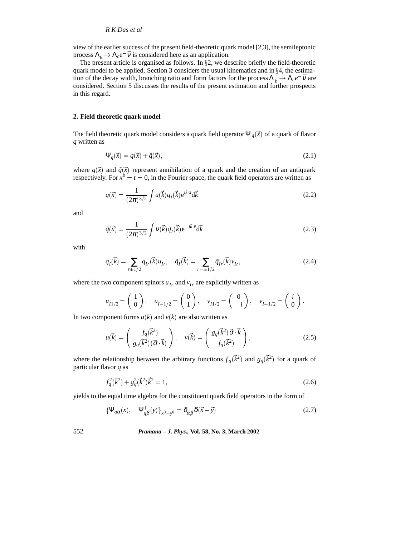view of the earlier success of the present field-theoretic quark model [2,3], the semileptonic process  $\Lambda_b \to \Lambda_c e^- \bar{v}$  is considered here as an application.

The present article is organised as follows. In  $\S2$ , we describe briefly the field-theoretic quark model to be applied. Section 3 considers the usual kinematics and in  $\S 4$ , the estimation of the decay width, branching ratio and form factors for the process  $\Lambda_b \to \Lambda_c e^- \bar{v}$  are considered. Section 5 discusses the results of the present estimation and further prospects in this regard.

#### **2. Field theoretic quark model**

The field theoretic quark model considers a quark field operator  $\Psi_q(\vec{x})$  of a quark of flavor *q* written as

$$
\Psi_q(\vec{x}) = q(\vec{x}) + \tilde{q}(\vec{x}),\tag{2.1}
$$

where  $q(\vec{x})$  and  $\tilde{q}(\vec{x})$  represent annihilation of a quark and the creation of an antiquark respectively. For  $x^0 = t = 0$ , in the Fourier space, the quark field operators are written as

$$
q(\vec{x}) = \frac{1}{(2\pi)^{3/2}} \int u(\vec{k}) q_I(\vec{k}) e^{i\vec{k}\cdot\vec{x}} d\vec{k}
$$
 (2.2)

and

$$
\tilde{q}(\vec{x}) = \frac{1}{(2\pi)^{3/2}} \int v(\vec{k}) \tilde{q}_I(\vec{k}) e^{-i\vec{k}\cdot\vec{x}} d\vec{k}
$$
\n(2.3)

with

$$
q_I(\vec{k}) = \sum_{r \pm 1/2} q_{Ir}(\vec{k}) u_{Ir}, \quad \tilde{q}_I(\vec{k}) = \sum_{r = \pm 1/2} \tilde{q}_{Ir}(\vec{k}) v_{Ir},
$$
\n(2.4)

where the two component spinors  $u_{Ir}$  and  $v_{Ir}$  are explicitly written as

$$
u_{I1/2} = \begin{pmatrix} 1 \\ 0 \end{pmatrix}, \quad u_{I-1/2} = \begin{pmatrix} 0 \\ 1 \end{pmatrix}, \quad v_{I1/2} = \begin{pmatrix} 0 \\ -i \end{pmatrix}, \quad v_{I-1/2} = \begin{pmatrix} i \\ 0 \end{pmatrix}.
$$

In two component forms  $u(k)$  and  $v(k)$  are also written as

$$
u(\vec{k}) = \begin{pmatrix} f_q(\vec{k}^2) \\ g_q(\vec{k}^2)(\vec{\sigma} \cdot \vec{k}) \end{pmatrix}, \quad v(\vec{k}) = \begin{pmatrix} g_q(\vec{k}^2)\vec{\sigma} \cdot \vec{k} \\ f_q(\vec{k}^2) \end{pmatrix},
$$
(2.5)

where the relationship between the arbitrary functions  $f_q(\vec{k}^2)$  and  $g_q(\vec{k}^2)$  for a quark of particular flavor *q* as

$$
f_q^2(\vec{k}^2) + g_q^2(\vec{k}^2)\vec{k}^2 = 1,
$$
\n(2.6)

yields to the equal time algebra for the constituent quark field operators in the form of

$$
\{\Psi_{q\alpha}(x), \quad \Psi_{q\beta}^{+}(y)\}_{x^{0}=y^{0}} = \delta_{\alpha\beta}\delta(\vec{x}-\vec{y})
$$
\n(2.7)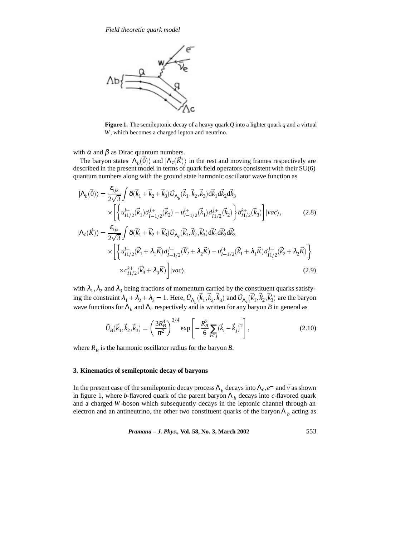

**Figure 1.** The semileptonic decay of a heavy quark *Q* into a lighter quark *q* and a virtual *W*, which becomes a charged lepton and neutrino.

with  $\alpha$  and  $\beta$  as Dirac quantum numbers.

The baryon states  $|\Lambda_h(\vec{0})\rangle$  and  $|\Lambda_c(\vec{K})\rangle$  in the rest and moving frames respectively are described in the present model in terms of quark field operators consistent with their SU(6) quantum numbers along with the ground state harmonic oscillator wave function as

$$
|\Lambda_{b}(\vec{0})\rangle = \frac{\varepsilon_{ijk}}{2\sqrt{3}} \int \delta(\vec{k}_{1} + \vec{k}_{2} + \vec{k}_{3}) \tilde{U}_{\Lambda_{b}}(\vec{k}_{1}, \vec{k}_{2}, \vec{k}_{3}) d\vec{k}_{1} d\vec{k}_{2} d\vec{k}_{3}
$$
  

$$
\times \left[ \left\{ u_{11/2}^{i+}(\vec{k}_{1}) d_{1-1/2}^{j+}(\vec{k}_{2}) - u_{1-1/2}^{i+}(\vec{k}_{1}) d_{11/2}^{j+}(\vec{k}_{2}) \right\} b_{11/2}^{k+}(\vec{k}_{3}) \right] |vac\rangle, \tag{2.8}
$$

$$
|\Lambda_{c}(\vec{K})\rangle = \frac{\varepsilon_{ijk}}{2\sqrt{3}} \int \delta(\vec{k}'_{1} + \vec{k}'_{2} + \vec{k}'_{3}) \tilde{U}_{\Lambda_{c}}(\vec{k}'_{1}, \vec{k}'_{2}, \vec{k}'_{3}) d\vec{k}'_{1} d\vec{k}'_{2} d\vec{k}'_{3}
$$
  
 
$$
\times \left[ \left\{ u_{11/2}^{i+}(\vec{k}'_{1} + \lambda_{1}\vec{K}) d_{1-1/2}^{j+}(\vec{k}'_{2} + \lambda_{2}\vec{K}) - u_{1-1/2}^{i+}(\vec{k}'_{1} + \lambda_{1}\vec{K}) d_{11/2}^{j+}(\vec{k}'_{2} + \lambda_{2}\vec{K}) \right\}
$$
  
 
$$
\times c_{11/2}^{k+}(\vec{k}'_{3} + \lambda_{3}\vec{K}) \right] |vac\rangle, \tag{2.9}
$$

with  $\lambda_1, \lambda_2$  and  $\lambda_3$  being fractions of momentum carried by the constituent quarks satisfying the constraint  $\lambda_1 + \lambda_2 + \lambda_3 = 1$ . Here,  $\tilde{U}_{\Lambda_b}(\vec{k}_1, \vec{k}_2, \vec{k}_3)$  and  $\tilde{U}_{\Lambda_c}(\vec{k}'_1, \vec{k}'_2, \vec{k}'_3)$  are the baryon wave functions for  $\Lambda_b$  and  $\Lambda_c$  respectively and is written for any baryon *B* in general as

$$
\tilde{U}_B(\vec{k}_1, \vec{k}_2, \vec{k}_3) = \left(\frac{3R_B^4}{\pi^2}\right)^{3/4} \exp\left[-\frac{R_B^2}{6} \sum_{i < j} (\vec{k}_i - \vec{k}_j)^2\right],\tag{2.10}
$$

where  $R_B$  is the harmonic oscillator radius for the baryon *B*.

## **3. Kinematics of semileptonic decay of baryons**

In the present case of the semileptonic decay process  $\Lambda_b$  decays into  $\Lambda_c$ ,  $e^-$  and  $\bar{v}$  as shown in figure 1, where *b*-flavored quark of the parent baryon  $\Lambda_b$  decays into *c*-flavored quark and a charged *W*-boson which subsequently decays in the leptonic channel through an electron and an antineutrino, the other two constituent quarks of the baryon  $\Lambda_b$  acting as

*Pramana – J. Phys.,* **Vol. 58, No. 3, March 2002** 553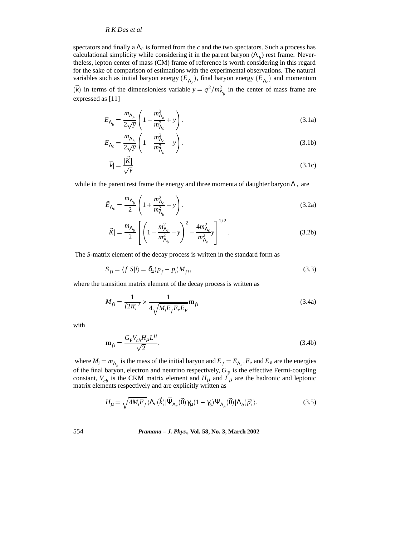spectators and finally a Λ*<sup>c</sup>* is formed from the *c* and the two spectators. Such a process has calculational simplicity while considering it in the parent baryon  $(\Lambda_h)$  rest frame. Nevertheless, lepton center of mass (CM) frame of reference is worth considering in this regard for the sake of comparison of estimations with the experimental observations. The natural variables such as initial baryon energy  $(E_{\Lambda_k})$ , final baryon energy  $(E_{\Lambda_c})$  and momentum  $(\vec{k})$  in terms of the dimensionless variable  $y = q^2/m_{\Lambda_b}^2$  in the center of mass frame are expressed as [11]

$$
E_{\Lambda_b} = \frac{m_{\Lambda_b}}{2\sqrt{y}} \left( 1 - \frac{m_{\Lambda_b}^2}{m_{\Lambda_c}^2} + y \right),\tag{3.1a}
$$

$$
E_{\Lambda_c} = \frac{m_{\Lambda_b}}{2\sqrt{y}} \left( 1 - \frac{m_{\Lambda_c}^2}{m_{\Lambda_b}^2} - y \right),\tag{3.1b}
$$

$$
|\vec{k}| = \frac{|\vec{K}|}{\sqrt{y}}
$$
(3.1c)

while in the parent rest frame the energy and three momenta of daughter baryon  $\Lambda_c$  are

$$
\tilde{E}_{\Lambda_c} = \frac{m_{\Lambda_b}}{2} \left( 1 + \frac{m_{\Lambda_c}^2}{m_{\Lambda_b}^2} - y \right),
$$
\n(3.2a)

$$
|\vec{K}| = \frac{m_{\Lambda_b}}{2} \left[ \left( 1 - \frac{m_{\Lambda_c}^2}{m_{\Lambda_b}^2} - y \right)^2 - \frac{4m_{\Lambda_c}^2}{m_{\Lambda_b}^2} y \right]^{1/2}.
$$
 (3.2b)

The *S*-matrix element of the decay process is written in the standard form as

$$
S_{fi} = \langle f|S|i\rangle = \delta_4(p_f - p_i)M_{fi},\tag{3.3}
$$

where the transition matrix element of the decay process is written as

$$
M_{fi} = \frac{1}{(2\pi)^2} \times \frac{1}{4\sqrt{M_i E_f E_e E_v}} \mathbf{m}_{fi}
$$
\n(3.4a)

with

$$
\mathbf{m}_{fi} = \frac{G_{\rm F} V_{cb} H_{\mu} L^{\mu}}{\sqrt{2}},\tag{3.4b}
$$

where  $M_i = m_{\Lambda_i}$  is the mass of the initial baryon and  $E_f = E_{\Lambda_c}$ ,  $E_e$  and  $E_v$  are the energies of the final baryon, electron and neutrino respectively,  $G_F$  is the effective Fermi-coupling constant,  $V_{cb}$  is the CKM matrix element and  $H_{\mu}$  and  $L_{\mu}$  are the hadronic and leptonic matrix elements respectively and are explicitly written as

$$
H_{\mu} = \sqrt{4M_i E_f} \langle \Lambda_c(\vec{k}) | \bar{\Psi}_{\Lambda_c}(\vec{0}) \gamma_{\mu} (1 - \gamma_5) \Psi_{\Lambda_b}(\vec{0}) | \Lambda_b(\vec{p}) \rangle.
$$
 (3.5)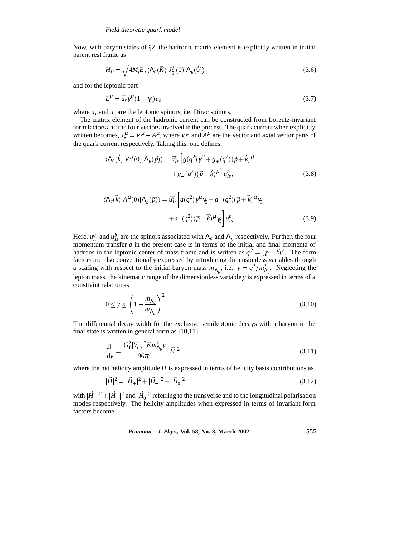Now, with baryon states of  $\S$ 2, the hadronic matrix element is explicitly written in initial parent rest frame as

$$
H_{\mu} = \sqrt{4M_i E_f} \langle \Lambda_c(\vec{K}) | J_5^{\mu}(0) | \Lambda_b(\vec{0}) \rangle
$$
\n(3.6)

and for the leptonic part

$$
L^{\mu} = \bar{u}_r \gamma^{\mu} (1 - \gamma_5) u_s, \qquad (3.7)
$$

where  $u_r$  and  $u_s$  are the leptonic spinors, i.e. Dirac spinors.

The matrix element of the hadronic current can be constructed from Lorentz-invariant form factors and the four vectors involved in the process. The quark current when explicitly written becomes,  $J_5^{\mu} = V^{\mu} - A^{\mu}$ , where  $V^{\mu}$  and  $A^{\mu}$  are the vector and axial vector parts of the quark current respectively. Taking this, one defines,

$$
\langle \Lambda_c(\vec{k}) | V^{\mu}(0) | \Lambda_b(\vec{p}) \rangle = \bar{u}_{Ir}^c \left[ g(q^2) \gamma^{\mu} + g_+(q^2) (\vec{p} + \vec{k})^{\mu} \right. \left. + g_-(q^2) (\vec{p} - \vec{k})^{\mu} \right] u_{Is}^b,
$$
\n(3.8)

$$
\langle \Lambda_c(\vec{k}) | A^{\mu}(0) | \Lambda_b(\vec{p}) \rangle = \bar{u}_{Ir}^c \left[ a(q^2) \gamma^{\mu} \gamma_5 + a_+(q^2) (\vec{p} + \vec{k})^{\mu} \gamma_5 + a_-(q^2) (\vec{p} - \vec{k})^{\mu} \gamma_5 \right] u_{Is}^b.
$$
\n(3.9)

Here,  $u_{Ir}^c$  and  $u_{Is}^b$  are the spinors associated with  $\Lambda_c$  and  $\Lambda_b$  respectively. Further, the four momentum transfer *q* in the present case is in terms of the initial and final momenta of hadrons in the leptonic center of mass frame and is written as  $q^2 = (p - k)^2$ . The form factors are also conventionally expressed by introducing dimensionless variables through a scaling with respect to the initial baryon mass  $m_{\Lambda_b}$ , i.e.  $y = q^2/m_{\Lambda_b}^2$ . Neglecting the lepton mass, the kinematic range of the dimensionless variable *y* is expressed in terms of a constraint relation as

$$
0 \le y \le \left(1 - \frac{m_{\Lambda_c}}{m_{\Lambda_b}}\right)^2. \tag{3.10}
$$

The differential decay width for the exclusive semileptonic decays with a baryon in the final state is written in general form as [10,11]

$$
\frac{d\Gamma}{dy} = \frac{G_F^2 |V_{cb}|^2 K m_{\Lambda_b}^2 y}{96\pi^3} |\vec{H}|^2,
$$
\n(3.11)

where the net helicity amplitude *H* is expressed in terms of helicity basis contributions as

$$
|\vec{H}|^2 = |\vec{H}_+|^2 + |\vec{H}_-|^2 + |\vec{H}_0|^2,\tag{3.12}
$$

with  $|\vec{H}_+|^2 + |\vec{H}_-|^2$  and  $|\vec{H}_0|^2$  referring to the transverse and to the longitudinal polarisation modes respectively. The helicity amplitudes when expressed in terms of invariant form factors become

*Pramana – J. Phys.,* **Vol. 58, No. 3, March 2002** 555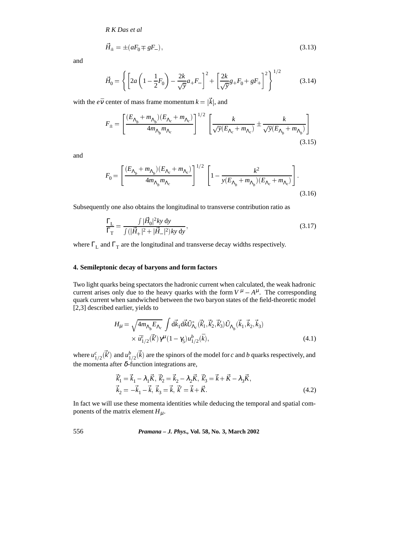$$
\vec{H}_{\pm} = \pm (aF_0 \mp gF_-),\tag{3.13}
$$

and

$$
\vec{H}_0 = \left\{ \left[ 2a \left( 1 - \frac{1}{2} F_0 \right) - \frac{2k}{\sqrt{y}} a_+ F_- \right]^2 + \left[ \frac{2k}{\sqrt{y}} g_+ F_0 + g F_+ \right]^2 \right\}^{1/2}
$$
(3.14)

with the  $e\bar{v}$  center of mass frame momentum  $k = |\vec{k}|$ , and

$$
F_{\pm} = \left[\frac{(E_{\Lambda_b} + m_{\Lambda_b})(E_{\Lambda_c} + m_{\Lambda_c})}{4m_{\Lambda_b}m_{\Lambda_c}}\right]^{1/2} \left[\frac{k}{\sqrt{y}(E_{\Lambda_c} + m_{\Lambda_c})} \pm \frac{k}{\sqrt{y}(E_{\Lambda_b} + m_{\Lambda_b})}\right]
$$
(3.15)

and

$$
F_0 = \left[\frac{(E_{\Lambda_b} + m_{\Lambda_b})(E_{\Lambda_c} + m_{\Lambda_c})}{4m_{\Lambda_b}m_{\Lambda_c}}\right]^{1/2} \left[1 - \frac{k^2}{y(E_{\Lambda_b} + m_{\Lambda_b})(E_{\Lambda_c} + m_{\Lambda_c})}\right].
$$
\n(3.16)

Subsequently one also obtains the longitudinal to transverse contribution ratio as

$$
\frac{\Gamma_{\rm L}}{\Gamma_{\rm T}} = \frac{\int |\vec{H}_0|^2 k y \, \mathrm{d}y}{\int (|\vec{H}_+|^2 + |\vec{H}_-|^2) k y \, \mathrm{d}y},\tag{3.17}
$$

where  $\Gamma$ <sub>L</sub> and  $\Gamma$ <sub>T</sub> are the longitudinal and transverse decay widths respectively.

# **4. Semileptonic decay of baryons and form factors**

Two light quarks being spectators the hadronic current when calculated, the weak hadronic current arises only due to the heavy quarks with the form  $V^{\mu} - A^{\mu}$ . The corresponding quark current when sandwiched between the two baryon states of the field-theoretic model [2,3] described earlier, yields to

$$
H_{\mu} = \sqrt{4m_{\Lambda_b}E_{\Lambda_c}} \int d\vec{k}_1 d\vec{k} \tilde{U}_{\Lambda_c}^* (\vec{k}_1', \vec{k}_2', \vec{k}_3') \tilde{U}_{\Lambda_b} (\vec{k}_1, \vec{k}_2, \vec{k}_3) \times \bar{u}_{1/2}^c (\vec{k}') \gamma^{\mu} (1 - \gamma_5) u_{1/2}^b (\vec{k}),
$$
\n(4.1)

where  $u_{1/2}^c(\vec{k}')$  and  $u_{1/2}^b(\vec{k})$  are the spinors of the model for *c* and *b* quarks respectively, and the momenta after  $\delta$ -function integrations are,

$$
\vec{k}'_1 = \vec{k}_1 - \lambda_1 \vec{K}, \ \vec{k}'_2 = \vec{k}_2 - \lambda_2 \vec{K}, \ \vec{k}'_3 = \vec{k} + \vec{K} - \lambda_3 \vec{K}, \n\vec{k}_2 = -\vec{k}_1 - \vec{k}, \ \vec{k}_3 = \vec{k}, \ \vec{k}' = \vec{k} + \vec{K}.
$$
\n(4.2)

In fact we will use these momenta identities while deducing the temporal and spatial components of the matrix element  $H_{\mu}$ .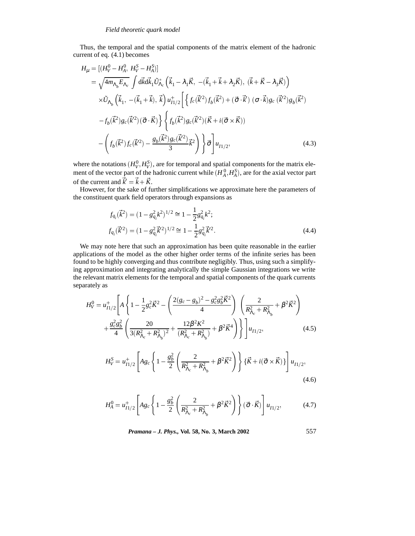Thus, the temporal and the spatial components of the matrix element of the hadronic current of eq. (4.1) becomes

$$
H_{\mu} = [(H_{V}^{0} - H_{A}^{0}, H_{V}^{S} - H_{A}^{S})]
$$
  
\n
$$
= \sqrt{4m_{\Lambda_{b}}E_{\Lambda_{c}}} \int d\vec{k}d\vec{k}_{1}\tilde{U}_{\Lambda_{c}}^{*} (\vec{k}_{1} - \lambda_{1}\vec{K}, -(\vec{k}_{1} + \vec{k} + \lambda_{2}\vec{K}), (\vec{k} + \vec{K} - \lambda_{3}\vec{K}))
$$
  
\n
$$
\times \tilde{U}_{\Lambda_{b}} (\vec{k}_{1}, -(\vec{k}_{1} + \vec{k}), \vec{k}) u_{1/2}^{+} \left\{ f_{c}(\vec{k}^{2}) f_{b}(\vec{k}^{2}) + (\vec{\sigma} \cdot \vec{k}) (\vec{\sigma} \cdot \vec{k}) g_{c}(\vec{k}^{2}) g_{b}(\vec{k}^{2}) - f_{b}(\vec{k}^{2}) g_{c}(\vec{k}^{2})(\vec{\sigma} \cdot \vec{K}) \right\} \left\{ f_{b}(\vec{k}^{2}) g_{c}(\vec{k}^{2}) (\vec{K} + i(\vec{\sigma} \times \vec{K}))
$$
  
\n
$$
- (f_{b}(\vec{k}^{2}) f_{c}(\vec{k}^{2}) - \frac{g_{b}(\vec{k}^{2}) g_{c}(\vec{k}^{2})}{3} \vec{k}^{2}) \right\} \vec{\sigma} u_{1/2}, \qquad (4.3)
$$

where the notations  $(H_V^0, H_V^S)$ , are for temporal and spatial components for the matrix element of the vector part of the hadronic current while  $(H_A^0, H_A^S)$ , are for the axial vector part of the current and  $\vec{k}' = \vec{k} + \vec{K}$ .

However, for the sake of further simplifications we approximate here the parameters of the constituent quark field operators through expansions as

$$
f_{q_i}(\vec{k}^2) = (1 - g_{q_i}^2 k^2)^{1/2} \approx 1 - \frac{1}{2} g_{q_i}^2 k^2;
$$
  

$$
f_{q_i}(\vec{k}'^2) = (1 - g_{q_i}^2 \vec{k}'^2)^{1/2} \approx 1 - \frac{1}{2} g_{q_i}^2 \vec{k}'^2.
$$
 (4.4)

We may note here that such an approximation has been quite reasonable in the earlier applications of the model as the other higher order terms of the infinite series has been found to be highly converging and thus contribute negligibly. Thus, using such a simplifying approximation and integrating analytically the simple Gaussian integrations we write the relevant matrix elements for the temporal and spatial components of the quark currents separately as

$$
H_V^0 = u_{1/2}^+ \left[ A \left\{ 1 - \frac{1}{2} g_c^2 \vec{K}^2 - \left( \frac{2(g_c - g_b)^2 - g_c^2 g_b^2 \vec{K}^2}{4} \right) \left( \frac{2}{R_{\Lambda_c}^2 + R_{\Lambda_b}^2} + \beta^2 \vec{K}^2 \right) \right. \\ \left. + \frac{g_c^2 g_b^2}{4} \left( \frac{20}{3(R_{\Lambda_c}^2 + R_{\Lambda_b}^2)^2} + \frac{12 \beta^2 K^2}{(R_{\Lambda_c}^2 + R_{\Lambda_b}^2)} + \beta^2 \vec{K}^4 \right) \right\} \right] u_{11/2}, \tag{4.5}
$$

$$
H_V^S = u_{I1/2}^+ \left[ A g_c \left\{ 1 - \frac{g_b^2}{2} \left( \frac{2}{R_{\Lambda_c}^2 + R_{\Lambda_b}^2} + \beta^2 \vec{K}^2 \right) \right\} \left\{ \vec{K} + i(\vec{\sigma} \times \vec{K}) \right\} \right] u_{I1/2},
$$
\n(4.6)

$$
H_A^0 = u_{I1/2}^+ \left[ Ag_c \left\{ 1 - \frac{g_b^2}{2} \left( \frac{2}{R_{\Lambda_c}^2 + R_{\Lambda_b}^2} + \beta^2 \vec{K}^2 \right) \right\} (\vec{\sigma} \cdot \vec{K}) \right] u_{I1/2}, \tag{4.7}
$$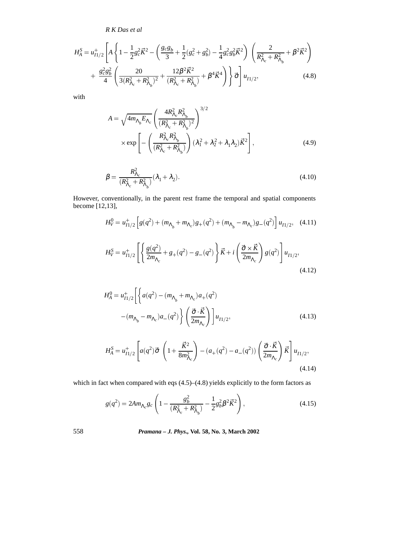$$
H_{A}^{S} = u_{11/2}^{+} \left[ A \left\{ 1 - \frac{1}{2} g_{c}^{2} \vec{K}^{2} - \left( \frac{g_{c} g_{b}}{3} + \frac{1}{2} (g_{c}^{2} + g_{b}^{2}) - \frac{1}{4} g_{c}^{2} g_{b}^{2} \vec{K}^{2} \right) \left( \frac{2}{R_{\Lambda_{c}}^{2} + R_{\Lambda_{b}}^{2}} + \beta^{2} \vec{K}^{2} \right) \right. \\ \left. + \frac{g_{c}^{2} g_{b}^{2}}{4} \left( \frac{20}{3 (R_{\Lambda_{c}}^{2} + R_{\Lambda_{b}}^{2})^{2}} + \frac{12 \beta^{2} \vec{K}^{2}}{(R_{\Lambda_{c}}^{2} + R_{\Lambda_{b}}^{2})} + \beta^{4} \vec{K}^{4} \right) \right\} \vec{\sigma} \right] u_{11/2}, \tag{4.8}
$$

with

$$
A = \sqrt{4m_{\Lambda_b}E_{\Lambda_c}} \left(\frac{4R_{\Lambda_c}^2R_{\Lambda_b}^2}{(R_{\Lambda_c}^2 + R_{\Lambda_b}^2)^2}\right)^{3/2}
$$
  
 
$$
\times \exp\left[-\left(\frac{R_{\Lambda_c}^2R_{\Lambda_b}^2}{(R_{\Lambda_c}^2 + R_{\Lambda_b}^2)}\right)(\lambda_1^2 + \lambda_2^2 + \lambda_1\lambda_2)\vec{K}^2\right],
$$
 (4.9)

$$
\beta = \frac{R_{\Lambda_c}^2}{(R_{\Lambda_c}^2 + R_{\Lambda_b}^2)} (\lambda_1 + \lambda_2).
$$
\n(4.10)

However, conventionally, in the parent rest frame the temporal and spatial components become [12,13],

$$
H_V^0 = u_{I1/2}^+ \left[ g(q^2) + (m_{\Lambda_b} + m_{\Lambda_c})g_+(q^2) + (m_{\Lambda_b} - m_{\Lambda_c})g_-(q^2) \right] u_{I1/2}, \quad (4.11)
$$

$$
H_V^S = u_{I1/2}^+ \left[ \left\{ \frac{g(q^2)}{2m_{\Lambda_c}} + g_+(q^2) - g_-(q^2) \right\} \vec{K} + i \left( \frac{\vec{\sigma} \times \vec{K}}{2m_{\Lambda_c}} \right) g(q^2) \right] u_{I1/2},
$$
\n(4.12)

$$
H_A^0 = u_{I1/2}^+ \left[ \left\{ a(q^2) - (m_{\Lambda_b} + m_{\Lambda_c})a_+(q^2) - (m_{\Lambda_b} - m_{\Lambda_c})a_-(q^2) \right\} \left( \frac{\vec{\sigma} \cdot \vec{K}}{2m_{\Lambda_c}} \right) \right] u_{I1/2},
$$
\n(4.13)

$$
H_A^S = u_{I1/2}^+ \left[ a(q^2) \vec{\sigma} \left( 1 + \frac{\vec{K}^2}{8m_{\Lambda_c}^2} \right) - (a_+(q^2) - a_-(q^2)) \left( \frac{\vec{\sigma} \cdot \vec{K}}{2m_{\Lambda_c}} \right) \vec{K} \right] u_{I1/2},
$$
\n(4.14)

which in fact when compared with eqs (4.5)–(4.8) yields explicitly to the form factors as

$$
g(q^2) = 2Am_{\Lambda_c}g_c \left(1 - \frac{g_b^2}{(R_{\Lambda_c}^2 + R_{\Lambda_b}^2)} - \frac{1}{2}g_b^2 \beta^2 \vec{K}^2\right),\tag{4.15}
$$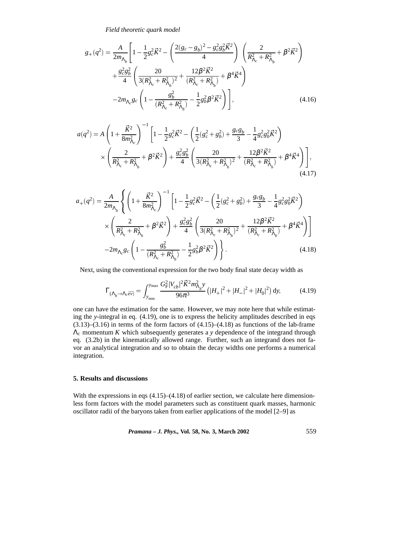*Field theoretic quark model*

$$
g_{+}(q^{2}) = \frac{A}{2m_{\Lambda_{b}}} \left[ 1 - \frac{1}{2} g_{c}^{2} \vec{K}^{2} - \left( \frac{2(g_{c} - g_{b})^{2} - g_{c}^{2} g_{b}^{2} \vec{K}^{2}}{4} \right) \left( \frac{2}{R_{\Lambda_{c}}^{2} + R_{\Lambda_{b}}^{2}} + \beta^{2} \vec{K}^{2} \right) \right]
$$
  
+ 
$$
\frac{g_{c}^{2} g_{b}^{2}}{4} \left( \frac{20}{3(R_{\Lambda_{c}}^{2} + R_{\Lambda_{b}}^{2})^{2}} + \frac{12 \beta^{2} \vec{K}^{2}}{(R_{\Lambda_{c}}^{2} + R_{\Lambda_{b}}^{2})} + \beta^{4} \vec{K}^{4} \right)
$$
  
- 
$$
2m_{\Lambda_{c}} g_{c} \left( 1 - \frac{g_{b}^{2}}{(R_{\Lambda_{c}}^{2} + R_{\Lambda_{b}}^{2})} - \frac{1}{2} g_{b}^{2} \beta^{2} \vec{K}^{2} \right) \right],
$$
(4.16)

$$
a(q^2) = A \left( 1 + \frac{\vec{K}^2}{8m_{\Lambda_c}^2} \right)^{-1} \left[ 1 - \frac{1}{2} g_c^2 \vec{K}^2 - \left( \frac{1}{2} (g_c^2 + g_b^2) + \frac{g_c g_b}{3} - \frac{1}{4} g_c^2 g_b^2 \vec{K}^2 \right) \times \left( \frac{2}{R_{\Lambda_c}^2 + R_{\Lambda_b}^2} + \beta^2 \vec{K}^2 \right) + \frac{g_c^2 g_b^2}{4} \left( \frac{20}{3(R_{\Lambda_c}^2 + R_{\Lambda_b}^2)^2} + \frac{12 \beta^2 \vec{K}^2}{(R_{\Lambda_c}^2 + R_{\Lambda_b}^2)} + \beta^4 \vec{K}^4 \right) \right],
$$
\n(4.17)

$$
a_{+}(q^{2}) = \frac{A}{2m_{\Lambda_{b}}} \left\{ \left( 1 + \frac{\vec{K}^{2}}{8m_{\Lambda_{c}}^{2}} \right)^{-1} \left[ 1 - \frac{1}{2}g_{c}^{2}\vec{K}^{2} - \left( \frac{1}{2}(g_{c}^{2} + g_{b}^{2}) + \frac{g_{c}g_{b}}{3} - \frac{1}{4}g_{c}^{2}g_{b}^{2}\vec{K}^{2} \right) \right. \\ \times \left. \left( \frac{2}{R_{\Lambda_{c}}^{2} + R_{\Lambda_{b}}^{2}} + \beta^{2}\vec{K}^{2} \right) + \frac{g_{c}^{2}g_{b}^{2}}{4} \left( \frac{20}{3(R_{\Lambda_{c}}^{2} + R_{\Lambda_{b}}^{2})^{2}} + \frac{12\beta^{2}\vec{K}^{2}}{(R_{\Lambda_{c}}^{2} + R_{\Lambda_{b}}^{2})} + \beta^{4}\vec{K}^{4} \right) \right] \\ - 2m_{\Lambda_{c}}g_{c} \left( 1 - \frac{g_{b}^{2}}{(R_{\Lambda_{c}}^{2} + R_{\Lambda_{b}}^{2})} - \frac{1}{2}g_{b}^{2}\beta^{2}\vec{K}^{2} \right) \right\}.
$$
 (4.18)

Next, using the conventional expression for the two body final state decay width as

$$
\Gamma_{(\Lambda_b \to \Lambda_c \bar{e}\bar{v})} = \int_{y_{\text{min}}}^{y_{\text{max}}} \frac{G_{\text{F}}^2 |V_{cb}|^2 \vec{K}^2 m_{\Lambda_b}^2 y}{96\pi^3} \left( |H_+|^2 + |H_-|^2 + |H_0|^2 \right) dy,
$$
(4.19)

one can have the estimation for the same. However, we may note here that while estimating the *y*-integral in eq. (4.19), one is to express the helicity amplitudes described in eqs  $(3.13)$ – $(3.16)$  in terms of the form factors of  $(4.15)$ – $(4.18)$  as functions of the lab-frame Λ*<sup>c</sup>* momentum *K* which subsequently generates a *y* dependence of the integrand through eq. (3.2b) in the kinematically allowed range. Further, such an integrand does not favor an analytical integration and so to obtain the decay widths one performs a numerical integration.

# **5. Results and discussions**

With the expressions in eqs (4.15)–(4.18) of earlier section, we calculate here dimensionless form factors with the model parameters such as constituent quark masses, harmonic oscillator radii of the baryons taken from earlier applications of the model [2–9] as

*Pramana – J. Phys.,* **Vol. 58, No. 3, March 2002** 559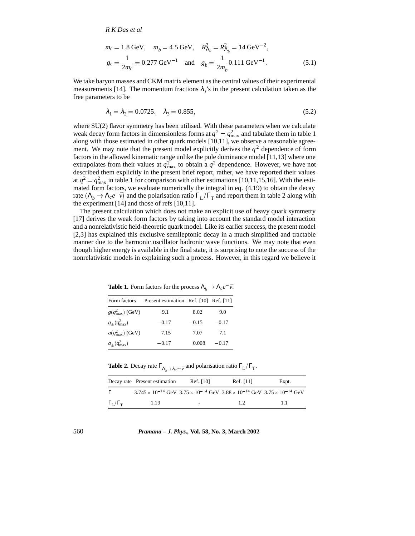$$
m_c = 1.8 \text{ GeV}, \quad m_b = 4.5 \text{ GeV}, \quad R_{\Lambda_c}^2 = R_{\Lambda_b}^2 = 14 \text{ GeV}^{-2},
$$
  
\n $g_c = \frac{1}{2m_c} = 0.277 \text{ GeV}^{-1} \quad \text{and} \quad g_b = \frac{1}{2m_b} 0.111 \text{ GeV}^{-1}.$  (5.1)

We take baryon masses and CKM matrix element as the central values of their experimental measurements [14]. The momentum fractions  $\lambda_i$ 's in the present calculation taken as the free parameters to be

$$
\lambda_1 = \lambda_2 = 0.0725, \quad \lambda_3 = 0.855,\tag{5.2}
$$

where SU(2) flavor symmetry has been utilised. With these parameters when we calculate weak decay form factors in dimensionless forms at  $q^2 = q_{\text{max}}^2$  and tabulate them in table 1 along with those estimated in other quark models [10,11], we observe a reasonable agreement. We may note that the present model explicitly derives the  $q<sup>2</sup>$  dependence of form factors in the allowed kinematic range unlike the pole dominance model [11,13] where one extrapolates from their values at  $q_{\text{max}}^2$  to obtain a  $q^2$  dependence. However, we have not described them explicitly in the present brief report, rather, we have reported their values at  $q^2 = q_{\text{max}}^2$  in table 1 for comparison with other estimations [10,11,15,16]. With the estimated form factors, we evaluate numerically the integral in eq. (4.19) to obtain the decay rate  $(\Lambda_b \to \Lambda_c e^- \bar{v})$  and the polarisation ratio  $\Gamma_L/\Gamma_T$  and report them in table 2 along with the experiment [14] and those of refs [10,11].

The present calculation which does not make an explicit use of heavy quark symmetry [17] derives the weak form factors by taking into account the standard model interaction and a nonrelativistic field-theoretic quark model. Like its earlier success, the present model [2,3] has explained this exclusive semileptonic decay in a much simplified and tractable manner due to the harmonic oscillator hadronic wave functions. We may note that even though higher energy is available in the final state, it is surprising to note the success of the nonrelativistic models in explaining such a process. However, in this regard we believe it

**Table 1.** Form factors for the process  $\Lambda_b \to \Lambda_c e^- \bar{\nu}$ .

| Form factors                | Present estimation Ref. [10] Ref. [11] |         |         |
|-----------------------------|----------------------------------------|---------|---------|
| $g(q_{\text{max}}^2)$ (GeV) | 9.1                                    | 8.02    | 9.0     |
| $g_{+}(q_{\rm max}^2)$      | $-0.17$                                | $-0.15$ | $-0.17$ |
| $a(q_{\text{max}}^2)$ (GeV) | 7.15                                   | 7.07    | 7.1     |
| $a_{\pm}(q^2_{\rm max})$    | $-0.17$                                | 0.008   | $-0.17$ |

**Table 2.** Decay rate  $\Gamma_{\Lambda_b \to \lambda_c e^- \bar{v}}$  and polarisation ratio  $\Gamma_L/\Gamma_T$ .

|                                 | Decay rate Present estimation                                                                                | Ref. [10] | Ref. [11] | Expt. |
|---------------------------------|--------------------------------------------------------------------------------------------------------------|-----------|-----------|-------|
| $\Gamma$                        | $3.745 \times 10^{-14}$ GeV $3.75 \times 10^{-14}$ GeV $3.88 \times 10^{-14}$ GeV $3.75 \times 10^{-14}$ GeV |           |           |       |
| $\Gamma_{\rm L}/\Gamma_{\rm T}$ | 1.19                                                                                                         |           | 1.2       | 11    |

560 *Pramana – J. Phys.,* **Vol. 58, No. 3, March 2002**